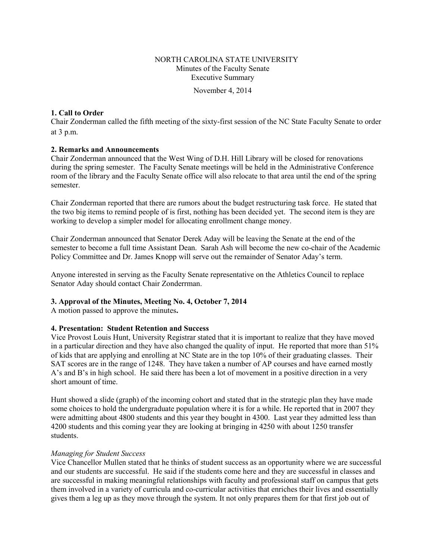## NORTH CAROLINA STATE UNIVERSITY Minutes of the Faculty Senate Executive Summary

November 4, 2014

### **1. Call to Order**

Chair Zonderman called the fifth meeting of the sixty-first session of the NC State Faculty Senate to order at 3 p.m.

### **2. Remarks and Announcements**

Chair Zonderman announced that the West Wing of D.H. Hill Library will be closed for renovations during the spring semester. The Faculty Senate meetings will be held in the Administrative Conference room of the library and the Faculty Senate office will also relocate to that area until the end of the spring semester.

Chair Zonderman reported that there are rumors about the budget restructuring task force. He stated that the two big items to remind people of is first, nothing has been decided yet. The second item is they are working to develop a simpler model for allocating enrollment change money.

Chair Zonderman announced that Senator Derek Aday will be leaving the Senate at the end of the semester to become a full time Assistant Dean. Sarah Ash will become the new co-chair of the Academic Policy Committee and Dr. James Knopp will serve out the remainder of Senator Aday's term.

Anyone interested in serving as the Faculty Senate representative on the Athletics Council to replace Senator Aday should contact Chair Zonderrman.

### **3. Approval of the Minutes, Meeting No. 4, October 7, 2014**

A motion passed to approve the minutes**.** 

### **4. Presentation: Student Retention and Success**

Vice Provost Louis Hunt, University Registrar stated that it is important to realize that they have moved in a particular direction and they have also changed the quality of input. He reported that more than 51% of kids that are applying and enrolling at NC State are in the top 10% of their graduating classes. Their SAT scores are in the range of 1248. They have taken a number of AP courses and have earned mostly A's and B's in high school. He said there has been a lot of movement in a positive direction in a very short amount of time.

Hunt showed a slide (graph) of the incoming cohort and stated that in the strategic plan they have made some choices to hold the undergraduate population where it is for a while. He reported that in 2007 they were admitting about 4800 students and this year they bought in 4300. Last year they admitted less than 4200 students and this coming year they are looking at bringing in 4250 with about 1250 transfer students.

#### *Managing for Student Success*

Vice Chancellor Mullen stated that he thinks of student success as an opportunity where we are successful and our students are successful. He said if the students come here and they are successful in classes and are successful in making meaningful relationships with faculty and professional staff on campus that gets them involved in a variety of curricula and co-curricular activities that enriches their lives and essentially gives them a leg up as they move through the system. It not only prepares them for that first job out of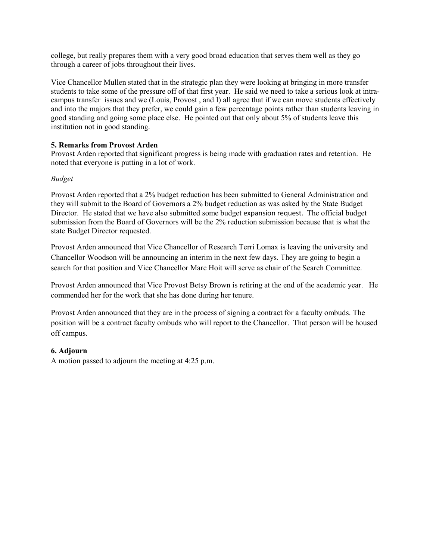college, but really prepares them with a very good broad education that serves them well as they go through a career of jobs throughout their lives.

Vice Chancellor Mullen stated that in the strategic plan they were looking at bringing in more transfer students to take some of the pressure off of that first year. He said we need to take a serious look at intracampus transfer issues and we (Louis, Provost , and I) all agree that if we can move students effectively and into the majors that they prefer, we could gain a few percentage points rather than students leaving in good standing and going some place else. He pointed out that only about 5% of students leave this institution not in good standing.

## **5. Remarks from Provost Arden**

Provost Arden reported that significant progress is being made with graduation rates and retention. He noted that everyone is putting in a lot of work.

### *Budget*

Provost Arden reported that a 2% budget reduction has been submitted to General Administration and they will submit to the Board of Governors a 2% budget reduction as was asked by the State Budget Director. He stated that we have also submitted some budget expansion request. The official budget submission from the Board of Governors will be the 2% reduction submission because that is what the state Budget Director requested.

Provost Arden announced that Vice Chancellor of Research Terri Lomax is leaving the university and Chancellor Woodson will be announcing an interim in the next few days. They are going to begin a search for that position and Vice Chancellor Marc Hoit will serve as chair of the Search Committee.

Provost Arden announced that Vice Provost Betsy Brown is retiring at the end of the academic year. He commended her for the work that she has done during her tenure.

Provost Arden announced that they are in the process of signing a contract for a faculty ombuds. The position will be a contract faculty ombuds who will report to the Chancellor. That person will be housed off campus.

## **6. Adjourn**

A motion passed to adjourn the meeting at 4:25 p.m.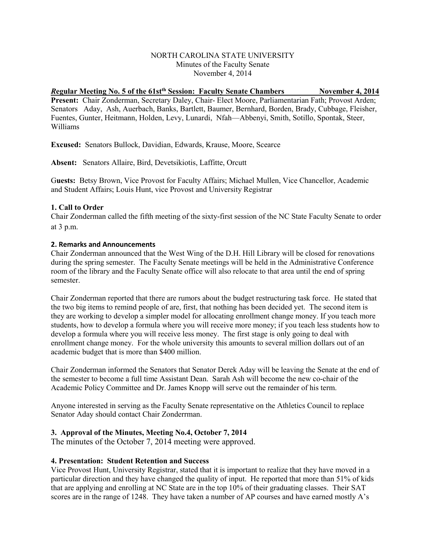### NORTH CAROLINA STATE UNIVERSITY Minutes of the Faculty Senate November 4, 2014

*R***egular Meeting No. 5 of the 61stth Session: Faculty Senate Chambers November 4, 2014 Present:** Chair Zonderman, Secretary Daley, Chair- Elect Moore, Parliamentarian Fath; Provost Arden; Senators Aday, Ash, Auerbach, Banks, Bartlett, Baumer, Bernhard, Borden, Brady, Cubbage, Fleisher, Fuentes, Gunter, Heitmann, Holden, Levy, Lunardi, Nfah—Abbenyi, Smith, Sotillo, Spontak, Steer, Williams

**Excused:** Senators Bullock, Davidian, Edwards, Krause, Moore, Scearce

**Absent:** Senators Allaire, Bird, Devetsikiotis, Laffitte, Orcutt

G**uests:** Betsy Brown, Vice Provost for Faculty Affairs; Michael Mullen, Vice Chancellor, Academic and Student Affairs; Louis Hunt, vice Provost and University Registrar

#### **1. Call to Order**

Chair Zonderman called the fifth meeting of the sixty-first session of the NC State Faculty Senate to order at 3 p.m.

#### **2. Remarks and Announcements**

Chair Zonderman announced that the West Wing of the D.H. Hill Library will be closed for renovations during the spring semester. The Faculty Senate meetings will be held in the Administrative Conference room of the library and the Faculty Senate office will also relocate to that area until the end of spring semester.

Chair Zonderman reported that there are rumors about the budget restructuring task force. He stated that the two big items to remind people of are, first, that nothing has been decided yet. The second item is they are working to develop a simpler model for allocating enrollment change money. If you teach more students, how to develop a formula where you will receive more money; if you teach less students how to develop a formula where you will receive less money. The first stage is only going to deal with enrollment change money. For the whole university this amounts to several million dollars out of an academic budget that is more than \$400 million.

Chair Zonderman informed the Senators that Senator Derek Aday will be leaving the Senate at the end of the semester to become a full time Assistant Dean. Sarah Ash will become the new co-chair of the Academic Policy Committee and Dr. James Knopp will serve out the remainder of his term.

Anyone interested in serving as the Faculty Senate representative on the Athletics Council to replace Senator Aday should contact Chair Zonderrman.

### **3. Approval of the Minutes, Meeting No.4, October 7, 2014**

The minutes of the October 7, 2014 meeting were approved.

#### **4. Presentation: Student Retention and Success**

Vice Provost Hunt, University Registrar, stated that it is important to realize that they have moved in a particular direction and they have changed the quality of input. He reported that more than 51% of kids that are applying and enrolling at NC State are in the top 10% of their graduating classes. Their SAT scores are in the range of 1248. They have taken a number of AP courses and have earned mostly A's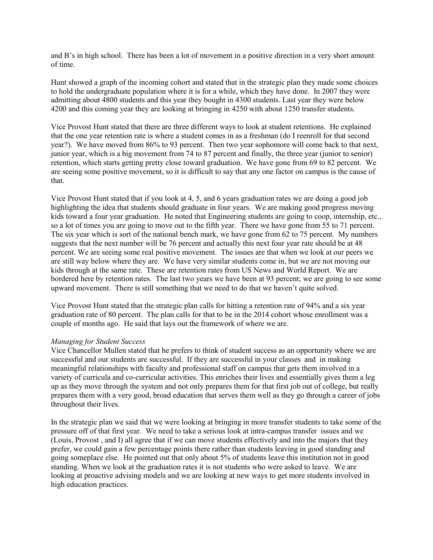and B's in high school. There has been a lot of movement in a positive direction in a very short amount of time.

Hunt showed a graph of the incoming cohort and stated that in the strategic plan they made some choices to hold the undergraduate population where it is for a while, which they have done. In 2007 they were admitting about 4800 students and this year they bought in 4300 students. Last year they were below 4200 and this coming year they are looking at bringing in 4250 with about 1250 transfer students.

Vice Provost Hunt stated that there are three different ways to look at student retentions. He explained that the one year retention rate is where a student comes in as a freshman (do I reenroll for that second year?). We have moved from 86% to 93 percent. Then two year sophomore will come back to that next, junior year, which is a big movement from 74 to 87 percent and finally, the three year (junior to senior) retention, which starts getting pretty close toward graduation. We have gone from 69 to 82 percent. We are seeing some positive movement, so it is difficult to say that any one factor on campus is the cause of that.

Vice Provost Hunt stated that if you look at 4, 5, and 6 years graduation rates we are doing a good job highlighting the idea that students should graduate in four years. We are making good progress moving kids toward a four year graduation. He noted that Engineering students are going to coop, internship, etc., so a lot of times you are going to move out to the fifth year. There we have gone from 55 to 71 percent. The six year which is sort of the national bench mark, we have gone from 62 to 75 percent. My numbers suggests that the next number will be 76 percent and actually this next four year rate should be at 48 percent. We are seeing some real positive movement. The issues are that when we look at our peers we are still way below where they are. We have very similar students come in, but we are not moving our kids through at the same rate. These are retention rates from US News and World Report. We are bordered here by retention rates. The last two years we have been at 93 percent; we are going to see some upward movement. There is still something that we need to do that we haven't quite solved.

Vice Provost Hunt stated that the strategic plan calls for hitting a retention rate of 94% and a six year graduation rate of 80 percent. The plan calls for that to be in the 2014 cohort whose enrollment was a couple of months ago. He said that lays out the framework of where we are.

#### *Managing for Student Success*

Vice Chancellor Mullen stated that he prefers to think of student success as an opportunity where we are successful and our students are successful. If they are successful in your classes and in making meaningful relationships with faculty and professional staff on campus that gets them involved in a variety of curricula and co-curricular activities. This enriches their lives and essentially gives them a leg up as they move through the system and not only prepares them for that first job out of college, but really prepares them with a very good, broad education that serves them well as they go through a career of jobs throughout their lives.

In the strategic plan we said that we were looking at bringing in more transfer students to take some of the pressure off of that first year. We need to take a serious look at intra-campus transfer issues and we (Louis, Provost , and I) all agree that if we can move students effectively and into the majors that they prefer, we could gain a few percentage points there rather than students leaving in good standing and going someplace else. He pointed out that only about 5% of students leave this institution not in good standing. When we look at the graduation rates it is not students who were asked to leave. We are looking at proactive advising models and we are looking at new ways to get more students involved in high education practices.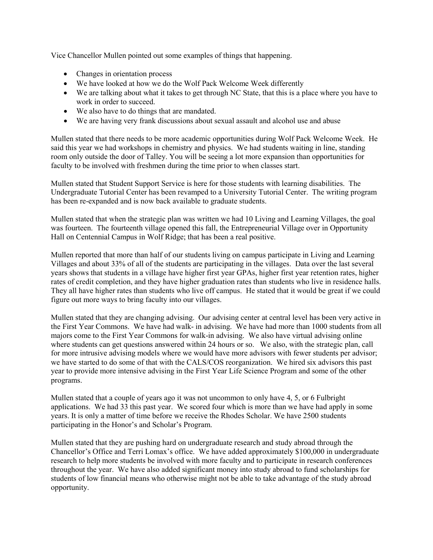Vice Chancellor Mullen pointed out some examples of things that happening.

- Changes in orientation process
- We have looked at how we do the Wolf Pack Welcome Week differently
- We are talking about what it takes to get through NC State, that this is a place where you have to work in order to succeed.
- We also have to do things that are mandated.
- We are having very frank discussions about sexual assault and alcohol use and abuse

Mullen stated that there needs to be more academic opportunities during Wolf Pack Welcome Week. He said this year we had workshops in chemistry and physics. We had students waiting in line, standing room only outside the door of Talley. You will be seeing a lot more expansion than opportunities for faculty to be involved with freshmen during the time prior to when classes start.

Mullen stated that Student Support Service is here for those students with learning disabilities. The Undergraduate Tutorial Center has been revamped to a University Tutorial Center. The writing program has been re-expanded and is now back available to graduate students.

Mullen stated that when the strategic plan was written we had 10 Living and Learning Villages, the goal was fourteen. The fourteenth village opened this fall, the Entrepreneurial Village over in Opportunity Hall on Centennial Campus in Wolf Ridge; that has been a real positive.

Mullen reported that more than half of our students living on campus participate in Living and Learning Villages and about 33% of all of the students are participating in the villages. Data over the last several years shows that students in a village have higher first year GPAs, higher first year retention rates, higher rates of credit completion, and they have higher graduation rates than students who live in residence halls. They all have higher rates than students who live off campus. He stated that it would be great if we could figure out more ways to bring faculty into our villages.

Mullen stated that they are changing advising. Our advising center at central level has been very active in the First Year Commons. We have had walk- in advising. We have had more than 1000 students from all majors come to the First Year Commons for walk-in advising. We also have virtual advising online where students can get questions answered within 24 hours or so. We also, with the strategic plan, call for more intrusive advising models where we would have more advisors with fewer students per advisor; we have started to do some of that with the CALS/COS reorganization. We hired six advisors this past year to provide more intensive advising in the First Year Life Science Program and some of the other programs.

Mullen stated that a couple of years ago it was not uncommon to only have 4, 5, or 6 Fulbright applications. We had 33 this past year. We scored four which is more than we have had apply in some years. It is only a matter of time before we receive the Rhodes Scholar. We have 2500 students participating in the Honor's and Scholar's Program.

Mullen stated that they are pushing hard on undergraduate research and study abroad through the Chancellor's Office and Terri Lomax's office. We have added approximately \$100,000 in undergraduate research to help more students be involved with more faculty and to participate in research conferences throughout the year. We have also added significant money into study abroad to fund scholarships for students of low financial means who otherwise might not be able to take advantage of the study abroad opportunity.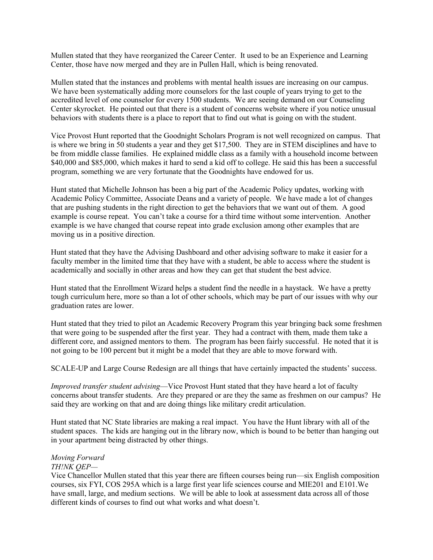Mullen stated that they have reorganized the Career Center. It used to be an Experience and Learning Center, those have now merged and they are in Pullen Hall, which is being renovated.

Mullen stated that the instances and problems with mental health issues are increasing on our campus. We have been systematically adding more counselors for the last couple of years trying to get to the accredited level of one counselor for every 1500 students. We are seeing demand on our Counseling Center skyrocket. He pointed out that there is a student of concerns website where if you notice unusual behaviors with students there is a place to report that to find out what is going on with the student.

Vice Provost Hunt reported that the Goodnight Scholars Program is not well recognized on campus. That is where we bring in 50 students a year and they get \$17,500. They are in STEM disciplines and have to be from middle classe families. He explained middle class as a family with a household income between \$40,000 and \$85,000, which makes it hard to send a kid off to college. He said this has been a successful program, something we are very fortunate that the Goodnights have endowed for us.

Hunt stated that Michelle Johnson has been a big part of the Academic Policy updates, working with Academic Policy Committee, Associate Deans and a variety of people. We have made a lot of changes that are pushing students in the right direction to get the behaviors that we want out of them. A good example is course repeat. You can't take a course for a third time without some intervention. Another example is we have changed that course repeat into grade exclusion among other examples that are moving us in a positive direction.

Hunt stated that they have the Advising Dashboard and other advising software to make it easier for a faculty member in the limited time that they have with a student, be able to access where the student is academically and socially in other areas and how they can get that student the best advice.

Hunt stated that the Enrollment Wizard helps a student find the needle in a haystack. We have a pretty tough curriculum here, more so than a lot of other schools, which may be part of our issues with why our graduation rates are lower.

Hunt stated that they tried to pilot an Academic Recovery Program this year bringing back some freshmen that were going to be suspended after the first year. They had a contract with them, made them take a different core, and assigned mentors to them. The program has been fairly successful. He noted that it is not going to be 100 percent but it might be a model that they are able to move forward with.

SCALE-UP and Large Course Redesign are all things that have certainly impacted the students' success.

*Improved transfer student advising*—Vice Provost Hunt stated that they have heard a lot of faculty concerns about transfer students. Are they prepared or are they the same as freshmen on our campus? He said they are working on that and are doing things like military credit articulation.

Hunt stated that NC State libraries are making a real impact. You have the Hunt library with all of the student spaces. The kids are hanging out in the library now, which is bound to be better than hanging out in your apartment being distracted by other things.

#### *Moving Forward TH!NK QEP—*

Vice Chancellor Mullen stated that this year there are fifteen courses being run—six English composition courses, six FYI, COS 295A which is a large first year life sciences course and MIE201 and E101.We have small, large, and medium sections. We will be able to look at assessment data across all of those different kinds of courses to find out what works and what doesn't.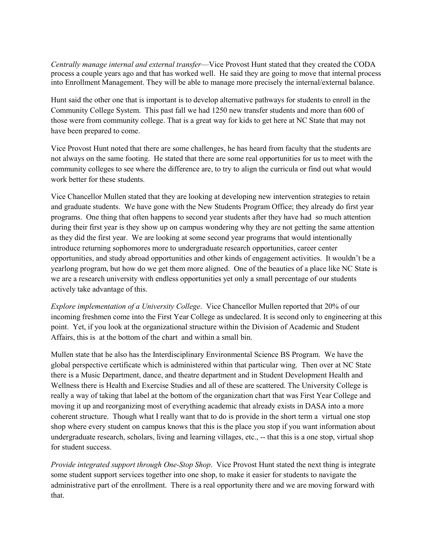*Centrally manage internal and external transfer*—Vice Provost Hunt stated that they created the CODA process a couple years ago and that has worked well. He said they are going to move that internal process into Enrollment Management. They will be able to manage more precisely the internal/external balance.

Hunt said the other one that is important is to develop alternative pathways for students to enroll in the Community College System. This past fall we had 1250 new transfer students and more than 600 of those were from community college. That is a great way for kids to get here at NC State that may not have been prepared to come.

Vice Provost Hunt noted that there are some challenges, he has heard from faculty that the students are not always on the same footing. He stated that there are some real opportunities for us to meet with the community colleges to see where the difference are, to try to align the curricula or find out what would work better for these students.

Vice Chancellor Mullen stated that they are looking at developing new intervention strategies to retain and graduate students. We have gone with the New Students Program Office; they already do first year programs. One thing that often happens to second year students after they have had so much attention during their first year is they show up on campus wondering why they are not getting the same attention as they did the first year. We are looking at some second year programs that would intentionally introduce returning sophomores more to undergraduate research opportunities, career center opportunities, and study abroad opportunities and other kinds of engagement activities. It wouldn't be a yearlong program, but how do we get them more aligned. One of the beauties of a place like NC State is we are a research university with endless opportunities yet only a small percentage of our students actively take advantage of this.

*Explore implementation of a University College*. Vice Chancellor Mullen reported that 20% of our incoming freshmen come into the First Year College as undeclared. It is second only to engineering at this point. Yet, if you look at the organizational structure within the Division of Academic and Student Affairs, this is at the bottom of the chart and within a small bin.

Mullen state that he also has the Interdisciplinary Environmental Science BS Program. We have the global perspective certificate which is administered within that particular wing. Then over at NC State there is a Music Department, dance, and theatre department and in Student Development Health and Wellness there is Health and Exercise Studies and all of these are scattered. The University College is really a way of taking that label at the bottom of the organization chart that was First Year College and moving it up and reorganizing most of everything academic that already exists in DASA into a more coherent structure. Though what I really want that to do is provide in the short term a virtual one stop shop where every student on campus knows that this is the place you stop if you want information about undergraduate research, scholars, living and learning villages, etc., -- that this is a one stop, virtual shop for student success.

*Provide integrated support through One-Stop Shop*. Vice Provost Hunt stated the next thing is integrate some student support services together into one shop, to make it easier for students to navigate the administrative part of the enrollment. There is a real opportunity there and we are moving forward with that.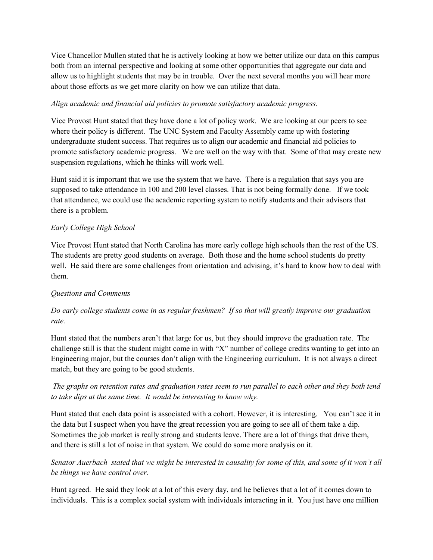Vice Chancellor Mullen stated that he is actively looking at how we better utilize our data on this campus both from an internal perspective and looking at some other opportunities that aggregate our data and allow us to highlight students that may be in trouble. Over the next several months you will hear more about those efforts as we get more clarity on how we can utilize that data.

## *Align academic and financial aid policies to promote satisfactory academic progress.*

Vice Provost Hunt stated that they have done a lot of policy work. We are looking at our peers to see where their policy is different. The UNC System and Faculty Assembly came up with fostering undergraduate student success. That requires us to align our academic and financial aid policies to promote satisfactory academic progress. We are well on the way with that. Some of that may create new suspension regulations, which he thinks will work well.

Hunt said it is important that we use the system that we have. There is a regulation that says you are supposed to take attendance in 100 and 200 level classes. That is not being formally done. If we took that attendance, we could use the academic reporting system to notify students and their advisors that there is a problem.

# *Early College High School*

Vice Provost Hunt stated that North Carolina has more early college high schools than the rest of the US. The students are pretty good students on average. Both those and the home school students do pretty well. He said there are some challenges from orientation and advising, it's hard to know how to deal with them.

## *Questions and Comments*

# *Do early college students come in as regular freshmen? If so that will greatly improve our graduation rate.*

Hunt stated that the numbers aren't that large for us, but they should improve the graduation rate. The challenge still is that the student might come in with "X" number of college credits wanting to get into an Engineering major, but the courses don't align with the Engineering curriculum. It is not always a direct match, but they are going to be good students.

# *The graphs on retention rates and graduation rates seem to run parallel to each other and they both tend to take dips at the same time. It would be interesting to know why.*

Hunt stated that each data point is associated with a cohort. However, it is interesting. You can't see it in the data but I suspect when you have the great recession you are going to see all of them take a dip. Sometimes the job market is really strong and students leave. There are a lot of things that drive them, and there is still a lot of noise in that system. We could do some more analysis on it.

# *Senator Auerbach stated that we might be interested in causality for some of this, and some of it won't all be things we have control over.*

Hunt agreed. He said they look at a lot of this every day, and he believes that a lot of it comes down to individuals. This is a complex social system with individuals interacting in it. You just have one million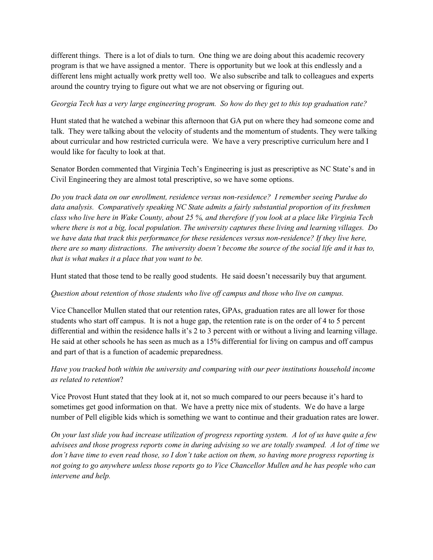different things. There is a lot of dials to turn. One thing we are doing about this academic recovery program is that we have assigned a mentor. There is opportunity but we look at this endlessly and a different lens might actually work pretty well too. We also subscribe and talk to colleagues and experts around the country trying to figure out what we are not observing or figuring out.

### *Georgia Tech has a very large engineering program. So how do they get to this top graduation rate?*

Hunt stated that he watched a webinar this afternoon that GA put on where they had someone come and talk. They were talking about the velocity of students and the momentum of students. They were talking about curricular and how restricted curricula were. We have a very prescriptive curriculum here and I would like for faculty to look at that.

Senator Borden commented that Virginia Tech's Engineering is just as prescriptive as NC State's and in Civil Engineering they are almost total prescriptive, so we have some options.

*Do you track data on our enrollment, residence versus non-residence? I remember seeing Purdue do data analysis. Comparatively speaking NC State admits a fairly substantial proportion of its freshmen class who live here in Wake County, about 25 %, and therefore if you look at a place like Virginia Tech where there is not a big, local population. The university captures these living and learning villages. Do we have data that track this performance for these residences versus non-residence? If they live here, there are so many distractions. The university doesn't become the source of the social life and it has to, that is what makes it a place that you want to be.* 

Hunt stated that those tend to be really good students. He said doesn't necessarily buy that argument*.*

## *Question about retention of those students who live off campus and those who live on campus.*

Vice Chancellor Mullen stated that our retention rates, GPAs, graduation rates are all lower for those students who start off campus. It is not a huge gap, the retention rate is on the order of 4 to 5 percent differential and within the residence halls it's 2 to 3 percent with or without a living and learning village. He said at other schools he has seen as much as a 15% differential for living on campus and off campus and part of that is a function of academic preparedness.

# *Have you tracked both within the university and comparing with our peer institutions household income as related to retention*?

Vice Provost Hunt stated that they look at it, not so much compared to our peers because it's hard to sometimes get good information on that. We have a pretty nice mix of students. We do have a large number of Pell eligible kids which is something we want to continue and their graduation rates are lower.

*On your last slide you had increase utilization of progress reporting system. A lot of us have quite a few advisees and those progress reports come in during advising so we are totally swamped. A lot of time we don't have time to even read those, so I don't take action on them, so having more progress reporting is not going to go anywhere unless those reports go to Vice Chancellor Mullen and he has people who can intervene and help.*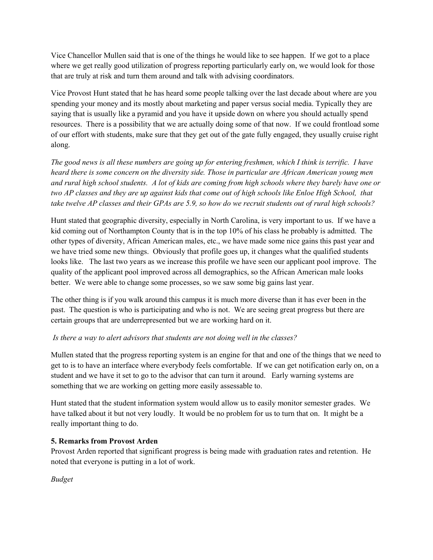Vice Chancellor Mullen said that is one of the things he would like to see happen. If we got to a place where we get really good utilization of progress reporting particularly early on, we would look for those that are truly at risk and turn them around and talk with advising coordinators.

Vice Provost Hunt stated that he has heard some people talking over the last decade about where are you spending your money and its mostly about marketing and paper versus social media. Typically they are saying that is usually like a pyramid and you have it upside down on where you should actually spend resources. There is a possibility that we are actually doing some of that now. If we could frontload some of our effort with students, make sure that they get out of the gate fully engaged, they usually cruise right along.

*The good news is all these numbers are going up for entering freshmen, which I think is terrific. I have heard there is some concern on the diversity side. Those in particular are African American young men and rural high school students. A lot of kids are coming from high schools where they barely have one or two AP classes and they are up against kids that come out of high schools like Enloe High School, that take twelve AP classes and their GPAs are 5.9, so how do we recruit students out of rural high schools?*

Hunt stated that geographic diversity, especially in North Carolina, is very important to us. If we have a kid coming out of Northampton County that is in the top 10% of his class he probably is admitted. The other types of diversity, African American males, etc., we have made some nice gains this past year and we have tried some new things. Obviously that profile goes up, it changes what the qualified students looks like. The last two years as we increase this profile we have seen our applicant pool improve. The quality of the applicant pool improved across all demographics, so the African American male looks better. We were able to change some processes, so we saw some big gains last year.

The other thing is if you walk around this campus it is much more diverse than it has ever been in the past. The question is who is participating and who is not. We are seeing great progress but there are certain groups that are underrepresented but we are working hard on it.

## *Is there a way to alert advisors that students are not doing well in the classes?*

Mullen stated that the progress reporting system is an engine for that and one of the things that we need to get to is to have an interface where everybody feels comfortable. If we can get notification early on, on a student and we have it set to go to the advisor that can turn it around. Early warning systems are something that we are working on getting more easily assessable to.

Hunt stated that the student information system would allow us to easily monitor semester grades. We have talked about it but not very loudly. It would be no problem for us to turn that on. It might be a really important thing to do.

# **5. Remarks from Provost Arden**

Provost Arden reported that significant progress is being made with graduation rates and retention. He noted that everyone is putting in a lot of work.

*Budget*